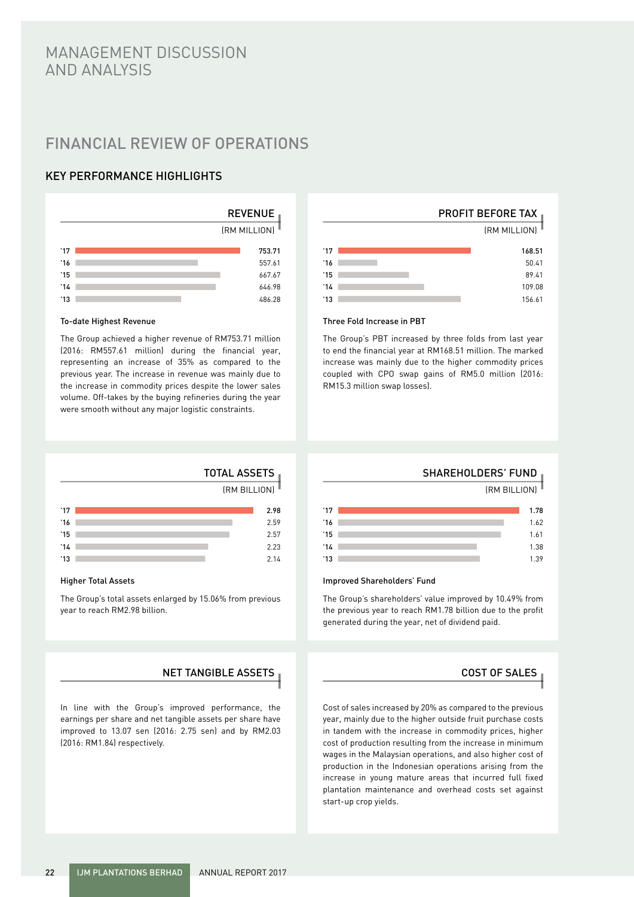# MANAGEMENT DISCUSSION AND ANALYSIS

# FINANCIAL REVIEW OF OPERATIONS

# KEY PERFORMANCE HIGHLIGHTS



#### To-date Highest Revenue

The Group achieved a higher revenue of RM753.71 million (2016: RM557.61 million) during the financial year, representing an increase of 35% as compared to the previous year. The increase in revenue was mainly due to the increase in commodity prices despite the lower sales volume. Off-takes by the buying refineries during the year were smooth without any major logistic constraints.



#### Three Fold Increase in PBT

The Group's PBT increased by three folds from last year to end the financial year at RM168.51 million. The marked increase was mainly due to the higher commodity prices coupled with CPO swap gains of RM5.0 million (2016: RM15.3 million swap losses).

|     | <b>TOTAL ASSETS</b> |      |
|-----|---------------------|------|
|     | (RM BILLION)        |      |
| '17 |                     | 2.98 |
| '16 |                     | 2.59 |
| 15  |                     | 2.57 |

#### Higher Total Assets

'13 '14

The Group's total assets enlarged by 15.06% from previous year to reach RM2.98 billion.

# NET TANGIBLE ASSETS  $\overline{a}$  and  $\overline{b}$  cost of sales  $\overline{c}$

 $2.14$ 2.3

In line with the Group's improved performance, the earnings per share and net tangible assets per share have improved to 13.07 sen (2016: 2.75 sen) and by RM2.03 (2016: RM1.84) respectively.

#### SHAREHOLDERS' FUND

 $(FM \cdot RH + IOM)$ 

| $^{\prime}17$ | 1.78 |
|---------------|------|
| 16'           | 1.62 |
| $^{\prime}15$ | 1.61 |
| 14            | 1.38 |
| 13            | 1.39 |

#### Improved Shareholders' Fund

The Group's shareholders' value improved by 10.49% from the previous year to reach RM1.78 billion due to the profit generated during the year, net of dividend paid.

Cost of sales increased by 20% as compared to the previous year, mainly due to the higher outside fruit purchase costs in tandem with the increase in commodity prices, higher cost of production resulting from the increase in minimum wages in the Malaysian operations, and also higher cost of production in the Indonesian operations arising from the increase in young mature areas that incurred full fixed plantation maintenance and overhead costs set against start-up crop yields.